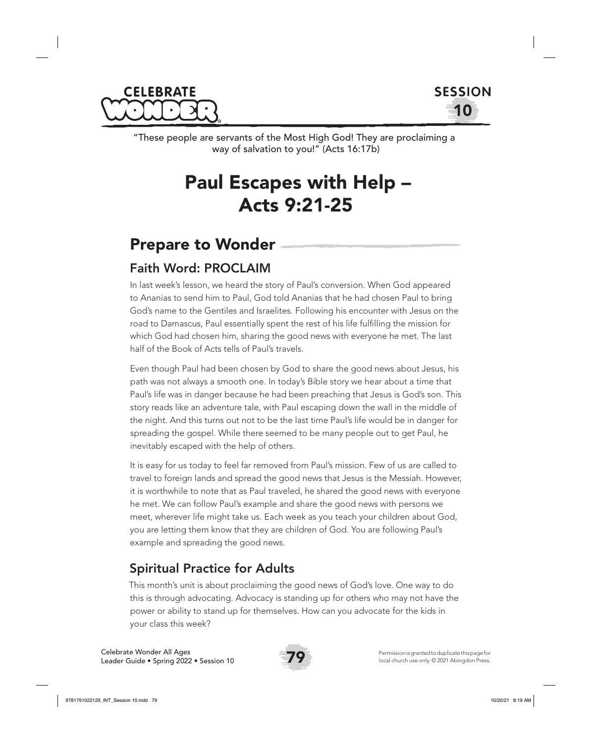



"These people are servants of the Most High God! They are proclaiming a way of salvation to you!" (Acts 16:17b)

# Paul Escapes with Help – Acts 9:21-25

# Prepare to Wonder

### Faith Word: PROCLAIM

In last week's lesson, we heard the story of Paul's conversion. When God appeared to Ananias to send him to Paul, God told Ananias that he had chosen Paul to bring God's name to the Gentiles and Israelites. Following his encounter with Jesus on the road to Damascus, Paul essentially spent the rest of his life fulfilling the mission for which God had chosen him, sharing the good news with everyone he met. The last half of the Book of Acts tells of Paul's travels.

Even though Paul had been chosen by God to share the good news about Jesus, his path was not always a smooth one. In today's Bible story we hear about a time that Paul's life was in danger because he had been preaching that Jesus is God's son. This story reads like an adventure tale, with Paul escaping down the wall in the middle of the night. And this turns out not to be the last time Paul's life would be in danger for spreading the gospel. While there seemed to be many people out to get Paul, he inevitably escaped with the help of others.

It is easy for us today to feel far removed from Paul's mission. Few of us are called to travel to foreign lands and spread the good news that Jesus is the Messiah. However, it is worthwhile to note that as Paul traveled, he shared the good news with everyone he met. We can follow Paul's example and share the good news with persons we meet, wherever life might take us. Each week as you teach your children about God, you are letting them know that they are children of God. You are following Paul's example and spreading the good news.

### Spiritual Practice for Adults

This month's unit is about proclaiming the good news of God's love. One way to do this is through advocating. Advocacy is standing up for others who may not have the power or ability to stand up for themselves. How can you advocate for the kids in your class this week?

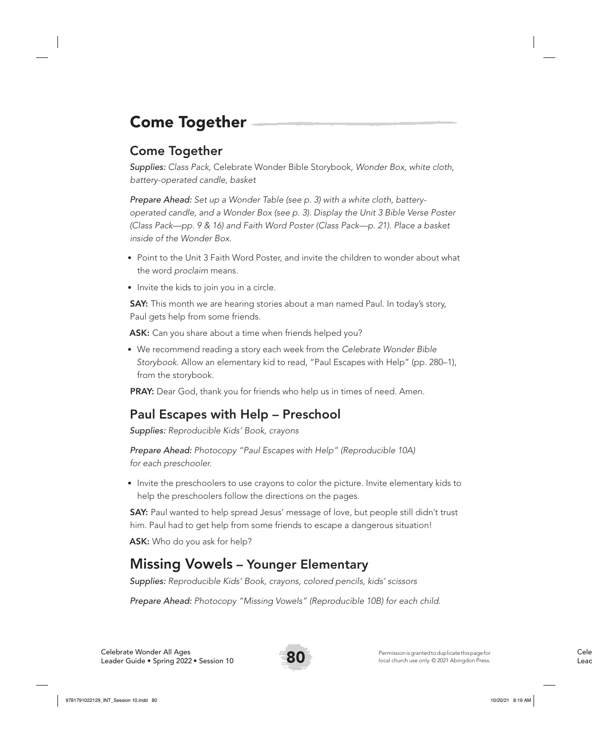# Come Together

### Come Together

*Supplies: Class Pack,* Celebrate Wonder Bible Storybook*, Wonder Box, white cloth, battery-operated candle, basket*

*Prepare Ahead: Set up a Wonder Table (see p. 3) with a white cloth, batteryoperated candle, and a Wonder Box (see p. 3). Display the Unit 3 Bible Verse Poster (Class Pack—pp. 9 & 16) and Faith Word Poster (Class Pack—p. 21). Place a basket inside of the Wonder Box.* 

- Point to the Unit 3 Faith Word Poster, and invite the children to wonder about what the word *proclaim* means.
- Invite the kids to join you in a circle.

**SAY:** This month we are hearing stories about a man named Paul. In today's story, Paul gets help from some friends.

ASK: Can you share about a time when friends helped you?

• We recommend reading a story each week from the *Celebrate Wonder Bible Storybook*. Allow an elementary kid to read, "Paul Escapes with Help" (pp. 280–1), from the storybook.

PRAY: Dear God, thank you for friends who help us in times of need. Amen.

### Paul Escapes with Help – Preschool

*Supplies: Reproducible Kids' Book, crayons*

*Prepare Ahead: Photocopy "Paul Escapes with Help" (Reproducible 10A) for each preschooler.*

• Invite the preschoolers to use crayons to color the picture. Invite elementary kids to help the preschoolers follow the directions on the pages.

SAY: Paul wanted to help spread Jesus' message of love, but people still didn't trust him. Paul had to get help from some friends to escape a dangerous situation!

ASK: Who do you ask for help?

## Missing Vowels – Younger Elementary

*Supplies: Reproducible Kids' Book, crayons, colored pencils, kids' scissors*

*Prepare Ahead: Photocopy "Missing Vowels" (Reproducible 10B) for each child.*

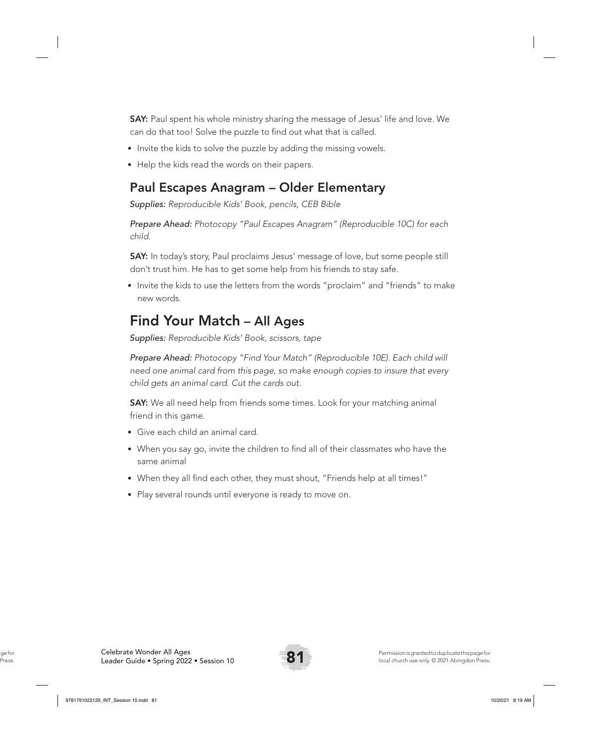SAY: Paul spent his whole ministry sharing the message of Jesus' life and love. We can do that too! Solve the puzzle to find out what that is called.

- Invite the kids to solve the puzzle by adding the missing vowels.
- Help the kids read the words on their papers.

#### Paul Escapes Anagram – Older Elementary

*Supplies: Reproducible Kids' Book, pencils, CEB Bible*

*Prepare Ahead: Photocopy "Paul Escapes Anagram" (Reproducible 10C) for each child.* 

SAY: In today's story, Paul proclaims Jesus' message of love, but some people still don't trust him. He has to get some help from his friends to stay safe.

• Invite the kids to use the letters from the words "proclaim" and "friends" to make new words.

## Find Your Match – All Ages

*Supplies: Reproducible Kids' Book, scissors, tape*

*Prepare Ahead: Photocopy "Find Your Match" (Reproducible 10E). Each child will need one animal card from this page, so make enough copies to insure that every child gets an animal card. Cut the cards out.* 

SAY: We all need help from friends some times. Look for your matching animal friend in this game.

- Give each child an animal card.
- When you say go, invite the children to find all of their classmates who have the same animal
- When they all find each other, they must shout, "Friends help at all times!"
- Play several rounds until everyone is ready to move on.

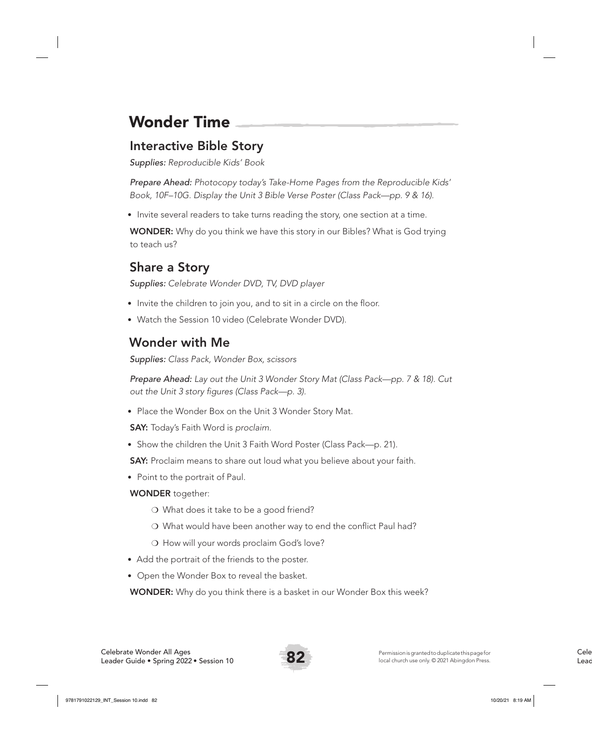# Wonder Time

### Interactive Bible Story

*Supplies: Reproducible Kids' Book* 

*Prepare Ahead: Photocopy today's Take-Home Pages from the Reproducible Kids' Book, 10F–10G. Display the Unit 3 Bible Verse Poster (Class Pack—pp. 9 & 16).*

• Invite several readers to take turns reading the story, one section at a time.

WONDER: Why do you think we have this story in our Bibles? What is God trying to teach us?

## Share a Story

*Supplies: Celebrate Wonder DVD, TV, DVD player*

- Invite the children to join you, and to sit in a circle on the floor.
- Watch the Session 10 video (Celebrate Wonder DVD).

# Wonder with Me

*Supplies: Class Pack, Wonder Box, scissors*

*Prepare Ahead: Lay out the Unit 3 Wonder Story Mat (Class Pack—pp. 7 & 18). Cut out the Unit 3 story figures (Class Pack—p. 3).* 

• Place the Wonder Box on the Unit 3 Wonder Story Mat.

SAY: Today's Faith Word is *proclaim*.

• Show the children the Unit 3 Faith Word Poster (Class Pack—p. 21).

SAY: Proclaim means to share out loud what you believe about your faith.

• Point to the portrait of Paul.

#### WONDER together:

- ❍ What does it take to be a good friend?
- ❍ What would have been another way to end the conflict Paul had?
- ❍ How will your words proclaim God's love?
- Add the portrait of the friends to the poster.
- Open the Wonder Box to reveal the basket.

WONDER: Why do you think there is a basket in our Wonder Box this week?

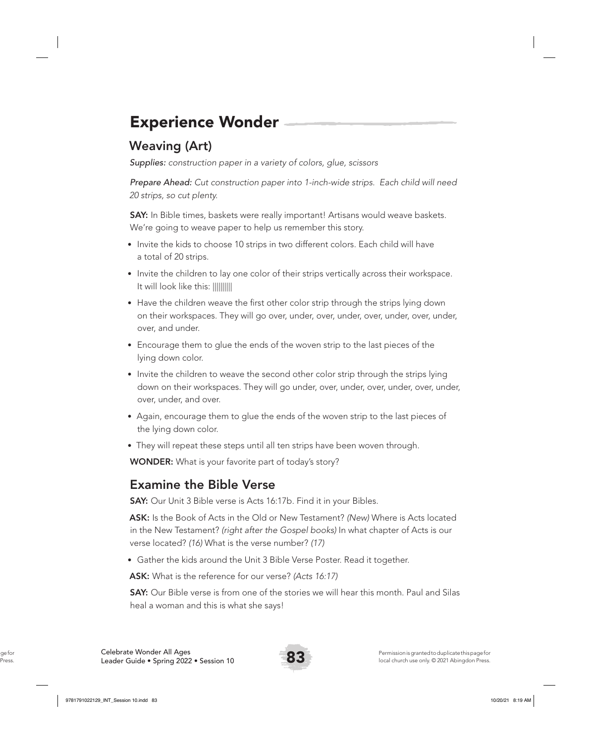# Experience Wonder

# Weaving (Art)

*Supplies: construction paper in a variety of colors, glue, scissors* 

*Prepare Ahead: Cut construction paper into 1-inch-wide strips. Each child will need 20 strips, so cut plenty.* 

**SAY:** In Bible times, baskets were really important! Artisans would weave baskets. We're going to weave paper to help us remember this story.

- Invite the kids to choose 10 strips in two different colors. Each child will have a total of 20 strips.
- Invite the children to lay one color of their strips vertically across their workspace. It will look like this: ||||||||||
- Have the children weave the first other color strip through the strips lying down on their workspaces. They will go over, under, over, under, over, under, over, under, over, and under.
- Encourage them to glue the ends of the woven strip to the last pieces of the lying down color.
- Invite the children to weave the second other color strip through the strips lying down on their workspaces. They will go under, over, under, over, under, over, under, over, under, and over.
- Again, encourage them to glue the ends of the woven strip to the last pieces of the lying down color.
- They will repeat these steps until all ten strips have been woven through.

WONDER: What is your favorite part of today's story?

#### Examine the Bible Verse

**SAY:** Our Unit 3 Bible verse is Acts 16:17b. Find it in your Bibles.

ASK: Is the Book of Acts in the Old or New Testament? *(New)* Where is Acts located in the New Testament? *(right after the Gospel books)* In what chapter of Acts is our verse located? *(16)* What is the verse number? *(17)*

• Gather the kids around the Unit 3 Bible Verse Poster. Read it together.

ASK: What is the reference for our verse? *(Acts 16:17)*

**SAY:** Our Bible verse is from one of the stories we will hear this month. Paul and Silas heal a woman and this is what she says!

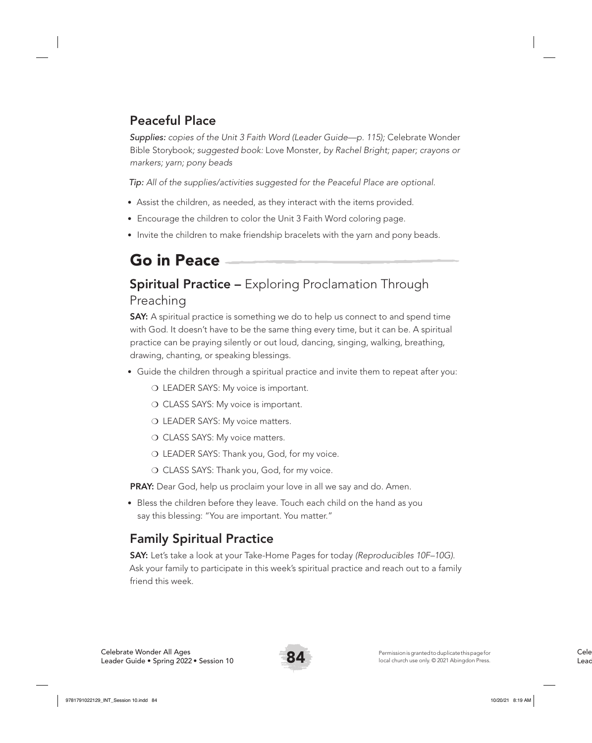### Peaceful Place

*Supplies: copies of the Unit 3 Faith Word (Leader Guide—p. 115);* Celebrate Wonder Bible Storybook*; suggested book:* Love Monster*, by Rachel Bright; paper; crayons or markers; yarn; pony beads*

*Tip: All of the supplies/activities suggested for the Peaceful Place are optional.*

- Assist the children, as needed, as they interact with the items provided.
- Encourage the children to color the Unit 3 Faith Word coloring page.
- Invite the children to make friendship bracelets with the yarn and pony beads.

# Go in Peace

### **Spiritual Practice –** Exploring Proclamation Through Preaching

**SAY:** A spiritual practice is something we do to help us connect to and spend time with God. It doesn't have to be the same thing every time, but it can be. A spiritual practice can be praying silently or out loud, dancing, singing, walking, breathing, drawing, chanting, or speaking blessings.

- Guide the children through a spiritual practice and invite them to repeat after you:
	- ❍ LEADER SAYS: My voice is important.
	- O CLASS SAYS: My voice is important.
	- O LEADER SAYS: My voice matters.
	- O CLASS SAYS: My voice matters.
	- ❍ LEADER SAYS: Thank you, God, for my voice.
	- ❍ CLASS SAYS: Thank you, God, for my voice.

PRAY: Dear God, help us proclaim your love in all we say and do. Amen.

• Bless the children before they leave. Touch each child on the hand as you say this blessing: "You are important. You matter."

### Family Spiritual Practice

SAY: Let's take a look at your Take-Home Pages for today *(Reproducibles 10F–10G)*. Ask your family to participate in this week's spiritual practice and reach out to a family friend this week.

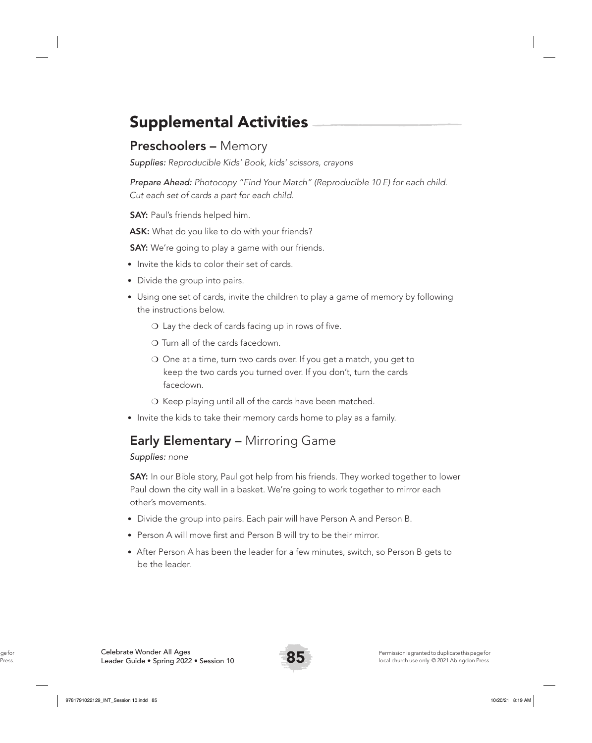# Supplemental Activities

#### Preschoolers – Memory

*Supplies: Reproducible Kids' Book, kids' scissors, crayons*

*Prepare Ahead: Photocopy "Find Your Match" (Reproducible 10 E) for each child. Cut each set of cards a part for each child.* 

**SAY:** Paul's friends helped him.

**ASK:** What do you like to do with your friends?

**SAY:** We're going to play a game with our friends.

- Invite the kids to color their set of cards.
- Divide the group into pairs.
- Using one set of cards, invite the children to play a game of memory by following the instructions below.
	- ❍ Lay the deck of cards facing up in rows of five.
	- ❍ Turn all of the cards facedown.
	- ❍ One at a time, turn two cards over. If you get a match, you get to keep the two cards you turned over. If you don't, turn the cards facedown.
	- ❍ Keep playing until all of the cards have been matched.
- Invite the kids to take their memory cards home to play as a family.

## Early Elementary – Mirroring Game

#### *Supplies: none*

**SAY:** In our Bible story, Paul got help from his friends. They worked together to lower Paul down the city wall in a basket. We're going to work together to mirror each other's movements.

- Divide the group into pairs. Each pair will have Person A and Person B.
- Person A will move first and Person B will try to be their mirror.
- After Person A has been the leader for a few minutes, switch, so Person B gets to be the leader.